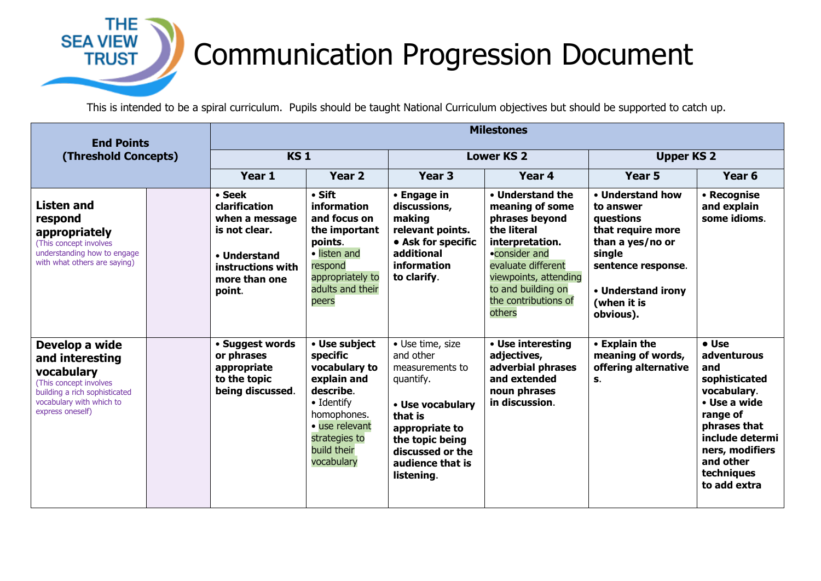## **THE SEA VIEW TRUST**

## Communication Progression Document

This is intended to be a spiral curriculum. Pupils should be taught National Curriculum objectives but should be supported to catch up.

| <b>End Points</b><br>(Threshold Concepts)                                                                                                                  |  | <b>Milestones</b>                                                                                                          |                                                                                                                                                                     |                                                                                                                                                                                         |                                                                                                                                                                                                                 |                                                                                                                                                                       |                                                                                                                                                                                          |  |
|------------------------------------------------------------------------------------------------------------------------------------------------------------|--|----------------------------------------------------------------------------------------------------------------------------|---------------------------------------------------------------------------------------------------------------------------------------------------------------------|-----------------------------------------------------------------------------------------------------------------------------------------------------------------------------------------|-----------------------------------------------------------------------------------------------------------------------------------------------------------------------------------------------------------------|-----------------------------------------------------------------------------------------------------------------------------------------------------------------------|------------------------------------------------------------------------------------------------------------------------------------------------------------------------------------------|--|
|                                                                                                                                                            |  | <b>KS1</b>                                                                                                                 |                                                                                                                                                                     | <b>Lower KS 2</b>                                                                                                                                                                       |                                                                                                                                                                                                                 | <b>Upper KS 2</b>                                                                                                                                                     |                                                                                                                                                                                          |  |
|                                                                                                                                                            |  | Year 1                                                                                                                     | Year <sub>2</sub>                                                                                                                                                   | Year <sub>3</sub>                                                                                                                                                                       | Year 4                                                                                                                                                                                                          | <b>Year 5</b>                                                                                                                                                         | Year <sub>6</sub>                                                                                                                                                                        |  |
| <b>Listen and</b><br>respond<br>appropriately<br>(This concept involves)<br>understanding how to engage<br>with what others are saying)                    |  | • Seek<br>clarification<br>when a message<br>is not clear.<br>• Understand<br>instructions with<br>more than one<br>point. | $\cdot$ Sift<br>information<br>and focus on<br>the important<br>points.<br>• listen and<br>respond<br>appropriately to<br>adults and their<br>peers                 | • Engage in<br>discussions,<br>making<br>relevant points.<br>• Ask for specific<br>additional<br>information<br>to clarify.                                                             | • Understand the<br>meaning of some<br>phrases beyond<br>the literal<br>interpretation.<br>•consider and<br>evaluate different<br>viewpoints, attending<br>to and building on<br>the contributions of<br>others | • Understand how<br>to answer<br>questions<br>that require more<br>than a yes/no or<br>single<br>sentence response.<br>• Understand irony<br>(when it is<br>obvious). | • Recognise<br>and explain<br>some idioms.                                                                                                                                               |  |
| Develop a wide<br>and interesting<br>vocabulary<br>(This concept involves<br>building a rich sophisticated<br>vocabulary with which to<br>express oneself) |  | • Suggest words<br>or phrases<br>appropriate<br>to the topic<br>being discussed.                                           | • Use subject<br>specific<br>vocabulary to<br>explain and<br>describe.<br>• Identify<br>homophones.<br>· use relevant<br>strategies to<br>build their<br>vocabulary | • Use time, size<br>and other<br>measurements to<br>quantify.<br>• Use vocabulary<br>that is<br>appropriate to<br>the topic being<br>discussed or the<br>audience that is<br>listening. | • Use interesting<br>adjectives,<br>adverbial phrases<br>and extended<br>noun phrases<br>in discussion.                                                                                                         | • Explain the<br>meaning of words,<br>offering alternative<br>S.                                                                                                      | • Use<br>adventurous<br>and<br>sophisticated<br>vocabulary.<br>• Use a wide<br>range of<br>phrases that<br>include determi<br>ners, modifiers<br>and other<br>techniques<br>to add extra |  |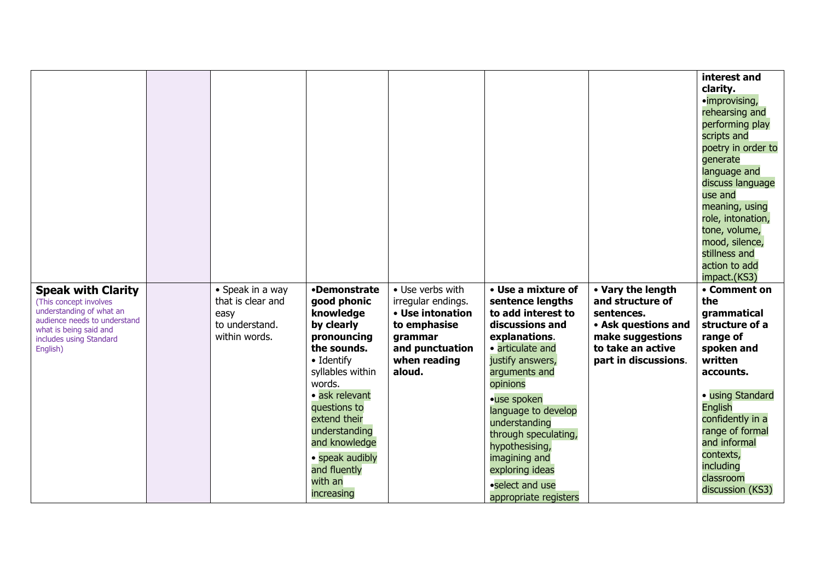|                                                                                               |                                               |                                                                                                                                                                                                                                      |                                                                      |                                                                                                                                                                                                                                                                                        |                                                                                      | interest and<br>clarity.<br>•improvising,<br>rehearsing and<br>performing play<br>scripts and<br>poetry in order to<br>generate<br>language and<br>discuss language<br>use and                                    |
|-----------------------------------------------------------------------------------------------|-----------------------------------------------|--------------------------------------------------------------------------------------------------------------------------------------------------------------------------------------------------------------------------------------|----------------------------------------------------------------------|----------------------------------------------------------------------------------------------------------------------------------------------------------------------------------------------------------------------------------------------------------------------------------------|--------------------------------------------------------------------------------------|-------------------------------------------------------------------------------------------------------------------------------------------------------------------------------------------------------------------|
| <b>Speak with Clarity</b><br>(This concept involves<br>understanding of what an               | • Speak in a way<br>that is clear and<br>easy | •Demonstrate<br>good phonic<br>knowledge                                                                                                                                                                                             | • Use verbs with<br>irregular endings.<br>• Use intonation           | • Use a mixture of<br>sentence lengths<br>to add interest to                                                                                                                                                                                                                           | • Vary the length<br>and structure of<br>sentences.                                  | meaning, using<br>role, intonation,<br>tone, volume,<br>mood, silence,<br>stillness and<br>action to add<br>impact.(KS3)<br>• Comment on<br>the<br>grammatical                                                    |
| audience needs to understand<br>what is being said and<br>includes using Standard<br>English) | to understand.<br>within words.               | by clearly<br>pronouncing<br>the sounds.<br>• Identify<br>syllables within<br>words.<br>· ask relevant<br>questions to<br>extend their<br>understanding<br>and knowledge<br>• speak audibly<br>and fluently<br>with an<br>increasing | to emphasise<br>grammar<br>and punctuation<br>when reading<br>aloud. | discussions and<br>explanations.<br>· articulate and<br>justify answers,<br>arguments and<br>opinions<br>·use spoken<br>language to develop<br>understanding<br>through speculating,<br>hypothesising,<br>imagining and<br>exploring ideas<br>•select and use<br>appropriate registers | • Ask questions and<br>make suggestions<br>to take an active<br>part in discussions. | structure of a<br>range of<br>spoken and<br>written<br>accounts.<br>· using Standard<br>English<br>confidently in a<br>range of formal<br>and informal<br>contexts,<br>including<br>classroom<br>discussion (KS3) |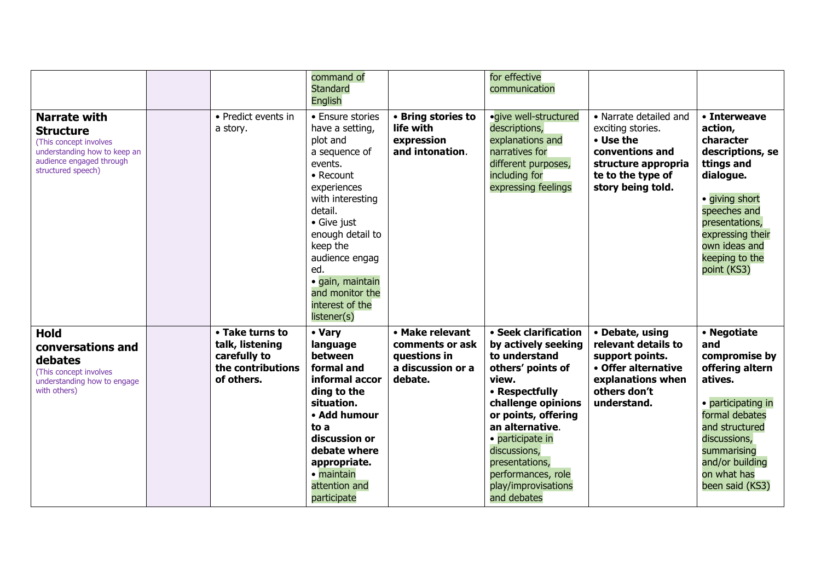|                                                                                                                                                     |                                                                                       | command of<br><b>Standard</b><br>English                                                                                                                                                                                                                                                |                                                                                    | for effective<br>communication                                                                                                                                                                                                                                                                 |                                                                                                                                              |                                                                                                                                                                                                                 |
|-----------------------------------------------------------------------------------------------------------------------------------------------------|---------------------------------------------------------------------------------------|-----------------------------------------------------------------------------------------------------------------------------------------------------------------------------------------------------------------------------------------------------------------------------------------|------------------------------------------------------------------------------------|------------------------------------------------------------------------------------------------------------------------------------------------------------------------------------------------------------------------------------------------------------------------------------------------|----------------------------------------------------------------------------------------------------------------------------------------------|-----------------------------------------------------------------------------------------------------------------------------------------------------------------------------------------------------------------|
| <b>Narrate with</b><br><b>Structure</b><br>(This concept involves<br>understanding how to keep an<br>audience engaged through<br>structured speech) | • Predict events in<br>a story.                                                       | • Ensure stories<br>have a setting,<br>plot and<br>a sequence of<br>events.<br>• Recount<br>experiences<br>with interesting<br>detail.<br>• Give just<br>enough detail to<br>keep the<br>audience engag<br>ed.<br>· gain, maintain<br>and monitor the<br>interest of the<br>listener(s) | • Bring stories to<br>life with<br>expression<br>and intonation.                   | · give well-structured<br>descriptions,<br>explanations and<br>narratives for<br>different purposes,<br>including for<br>expressing feelings                                                                                                                                                   | • Narrate detailed and<br>exciting stories.<br>• Use the<br>conventions and<br>structure appropria<br>te to the type of<br>story being told. | • Interweave<br>action,<br>character<br>descriptions, se<br>ttings and<br>dialogue.<br>· giving short<br>speeches and<br>presentations,<br>expressing their<br>own ideas and<br>keeping to the<br>point (KS3)   |
| <b>Hold</b><br>conversations and<br>debates<br>(This concept involves<br>understanding how to engage<br>with others)                                | • Take turns to<br>talk, listening<br>carefully to<br>the contributions<br>of others. | • Vary<br>language<br>between<br>formal and<br>informal accor<br>ding to the<br>situation.<br>• Add humour<br>to a<br>discussion or<br>debate where<br>appropriate.<br>· maintain<br>attention and<br>participate                                                                       | • Make relevant<br>comments or ask<br>questions in<br>a discussion or a<br>debate. | • Seek clarification<br>by actively seeking<br>to understand<br>others' points of<br>view.<br>• Respectfully<br>challenge opinions<br>or points, offering<br>an alternative.<br>· participate in<br>discussions,<br>presentations,<br>performances, role<br>play/improvisations<br>and debates | • Debate, using<br>relevant details to<br>support points.<br>• Offer alternative<br>explanations when<br>others don't<br>understand.         | • Negotiate<br>and<br>compromise by<br>offering altern<br>atives.<br>• participating in<br>formal debates<br>and structured<br>discussions,<br>summarising<br>and/or building<br>on what has<br>been said (KS3) |